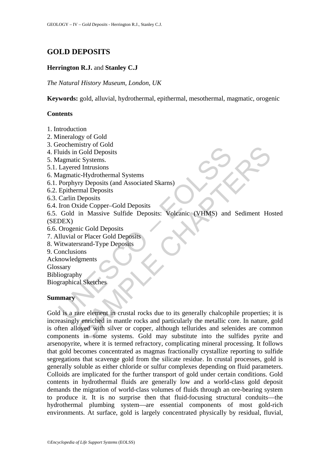# **GOLD DEPOSITS**

# **Herrington R.J.** and **Stanley C.J**

*The Natural History Museum, London, UK* 

**Keywords:** gold, alluvial, hydrothermal, epithermal, mesothermal, magmatic, orogenic

## **Contents**

- 1. Introduction
- 2. Mineralogy of Gold
- 3. Geochemistry of Gold
- 4. Fluids in Gold Deposits
- 5. Magmatic Systems.
- 5.1. Layered Intrusions
- 6. Magmatic-Hydrothermal Systems
- 6.1. Porphyry Deposits (and Associated Skarns)
- 6.2. Epithermal Deposits
- 6.3. Carlin Deposits
- 6.4. Iron Oxide Copper–Gold Deposits

Concursus y or court<br>
aluds in Gold Deposits<br>
1agmatic Systems.<br>
Layered Intrusions<br>
1agmatic-Hydrothermal Systems<br>
Porphyry Deposits (and Associated Skarns)<br>
Carlin Deposits<br>
Cordin Deposits<br>
Cordin Massive Sulfide Deposi 6.5. Gold in Massive Sulfide Deposits: Volcanic (VHMS) and Sediment Hosted (SEDEX)

- 6.6. Orogenic Gold Deposits
- 7. Alluvial or Placer Gold Deposits
- 8. Witwatersrand-Type Deposits
- 9. Conclusions
- Acknowledgments
- Glossary

Bibliography Biographical Sketches

### **Summary**

many or olon<br>
in Gold Deposits<br>
ic Systems.<br>
CHAPTER Explores the Copper Systems<br>
and Intrusions<br>
rxide Copper Gold Deposits<br>
Deposits<br>
Deposits<br>
in Massive Sulfide Deposits<br>
in Massive Sulfide Deposits<br>
or Placer Gold Dep Gold is a rare element in crustal rocks due to its generally chalcophile properties; it is increasingly enriched in mantle rocks and particularly the metallic core. In nature, gold is often alloyed with silver or copper, although tellurides and selenides are common components in some systems. Gold may substitute into the sulfides pyrite and arsenopyrite, where it is termed refractory, complicating mineral processing. It follows that gold becomes concentrated as magmas fractionally crystallize reporting to sulfide segregations that scavenge gold from the silicate residue. In crustal processes, gold is generally soluble as either chloride or sulfur complexes depending on fluid parameters. Colloids are implicated for the further transport of gold under certain conditions. Gold contents in hydrothermal fluids are generally low and a world-class gold deposit demands the migration of world-class volumes of fluids through an ore-bearing system to produce it. It is no surprise then that fluid-focusing structural conduits—the hydrothermal plumbing system—are essential components of most gold-rich environments. At surface, gold is largely concentrated physically by residual, fluvial,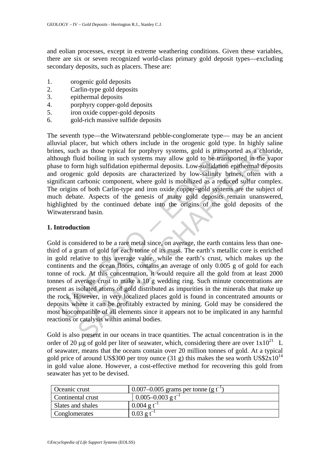and eolian processes, except in extreme weathering conditions. Given these variables, there are six or seven recognized world-class primary gold deposit types—excluding secondary deposits, such as placers. These are:

- 1. orogenic gold deposits
- 2. Carlin-type gold deposits
- 3. epithermal deposits
- 4. porphyry copper-gold deposits
- 5. iron oxide copper-gold deposits
- 6. gold-rich massive sulfide deposits

The seventh type—the Witwatersrand pebble-conglomerate type— may be an ancient alluvial placer, but which others include in the orogenic gold type. In highly saline brines, such as those typical for porphyry systems, gold is transported as a chloride, although fluid boiling in such systems may allow gold to be transported in the vapor phase to form high sulfidation epithermal deposits. Low-sulfidation epithermal deposits and orogenic gold deposits are characterized by low-salinity brines, often with a significant carbonic component, where gold is mobilized as a reduced sulfur complex. The origins of both Carlin-type and iron oxide copper–gold systems are the subject of much debate. Aspects of the genesis of many gold deposits remain unanswered, highlighted by the continued debate into the origins of the gold deposits of the Witwatersrand basin.

### **1. Introduction**

es, such as those typical for porphyry systems, gold is transpo<br>ough fluid boiling in such systems may allow gold to be transpo<br>ough fluid boiling in such systems may allow gold to be transp<br>e to form high sulfidation epit From high sufficial for porphyry systems, gold is transported as a chloud boiling in such systems may allow gold to be transported in the virm high sufficiation epithermal deposits. Low-sulfiddino picthermal deposites in t Gold is considered to be a rare metal since, on average, the earth contains less than onethird of a gram of gold for each tonne of its mass. The earth's metallic core is enriched in gold relative to this average value, while the earth's crust, which makes up the continents and the ocean floors, contains an average of only 0.005 g of gold for each tonne of rock. At this concentration, it would require all the gold from at least 2000 tonnes of average crust to make a 10 g wedding ring. Such minute concentrations are present as isolated atoms of gold distributed as impurities in the minerals that make up the rock. However, in very localized places gold is found in concentrated amounts or deposits where it can be profitably extracted by mining. Gold may be considered the most biocompatible of all elements since it appears not to be implicated in any harmful reactions or catalysis within animal bodies.

Gold is also present in our oceans in trace quantities. The actual concentration is in the order of 20 μg of gold per liter of seawater, which, considering there are over  $1x10^{21}$  L of seawater, means that the oceans contain over 20 million tonnes of gold. At a typical gold price of around US\$300 per troy ounce (31 g) this makes the sea worth US\$2 $x10^{14}$ in gold value alone. However, a cost-effective method for recovering this gold from seawater has yet to be devised.

| Oceanic crust     | 0.007–0.005 grams per tonne (g $t^{-1}$ ) |
|-------------------|-------------------------------------------|
| Continental crust | $0.005 - 0.003$ g t <sup>-1</sup>         |
| Slates and shales | $0.004$ g t <sup>-1</sup>                 |
| Conglomerates     | $0.03$ g t <sup>-1</sup>                  |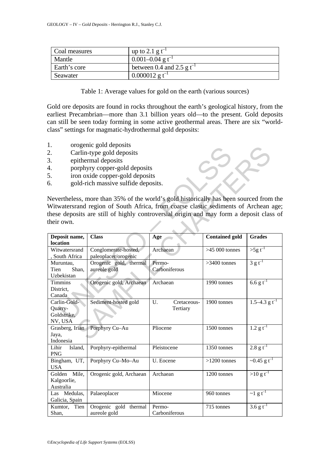| Coal measures | up to 2.1 g $t^{-1}$             |
|---------------|----------------------------------|
| Mantle        | $0.001 - 0.04$ g t <sup>-1</sup> |
| Earth's core  | between 0.4 and 2.5 g $t^{-1}$   |
| Seawater      | $0.000012$ g t <sup>-1</sup>     |

Table 1: Average values for gold on the earth (various sources)

Gold ore deposits are found in rocks throughout the earth's geological history, from the earliest Precambrian—more than 3.1 billion years old—to the present. Gold deposits can still be seen today forming in some active geothermal areas. There are six "worldclass" settings for magmatic-hydrothermal gold deposits:

- 1. orogenic gold deposits
- 2. Carlin-type gold deposits
- 3. epithermal deposits
- 4. porphyry copper-gold deposits
- 5. iron oxide copper-gold deposits
- 6. gold-rich massive sulfide deposits.

| ī.                        | orogenic goiu deposits                                                                  |                   |                       |                               |  |  |  |  |  |
|---------------------------|-----------------------------------------------------------------------------------------|-------------------|-----------------------|-------------------------------|--|--|--|--|--|
| 2.                        | Carlin-type gold deposits                                                               |                   |                       |                               |  |  |  |  |  |
| 3.                        | epithermal deposits                                                                     |                   |                       |                               |  |  |  |  |  |
| 4.                        | porphyry copper-gold deposits                                                           |                   |                       |                               |  |  |  |  |  |
| 5.                        | iron oxide copper-gold deposits                                                         |                   |                       |                               |  |  |  |  |  |
| 6.                        | gold-rich massive sulfide deposits.                                                     |                   |                       |                               |  |  |  |  |  |
|                           |                                                                                         |                   |                       |                               |  |  |  |  |  |
|                           | Nevertheless, more than 35% of the world's gold historically has been sourced from the  |                   |                       |                               |  |  |  |  |  |
|                           | Witwatersrand region of South Africa, from coarse clastic sediments of Archean age;     |                   |                       |                               |  |  |  |  |  |
|                           |                                                                                         |                   |                       |                               |  |  |  |  |  |
|                           | these deposits are still of highly controversial origin and may form a deposit class of |                   |                       |                               |  |  |  |  |  |
| their own.                |                                                                                         |                   |                       |                               |  |  |  |  |  |
|                           |                                                                                         |                   |                       |                               |  |  |  |  |  |
| Deposit name,<br>location | <b>Class</b>                                                                            | Age               | <b>Contained gold</b> | <b>Grades</b>                 |  |  |  |  |  |
| Witwatersrand             | Conglomerate-hosted,                                                                    | Archaean          | $>45000$ tonnes       | $>$ 5g t <sup>-1</sup>        |  |  |  |  |  |
| , South Africa            | paleoplacer/orogenic                                                                    |                   |                       |                               |  |  |  |  |  |
| Muruntau,                 | Orogenic gold, thermal                                                                  | Permo-            | $>3400$ tonnes        | $3 g t^{-1}$                  |  |  |  |  |  |
| Tien<br>Shan,             | aureole gold                                                                            | Carboniferous     |                       |                               |  |  |  |  |  |
| Uzbekistan                |                                                                                         |                   |                       |                               |  |  |  |  |  |
| Timmins                   | Orogenic gold, Archaean                                                                 | Archaean          | 1990 tonnes           | 6.6 g t <sup>-1</sup>         |  |  |  |  |  |
| District,                 |                                                                                         |                   |                       |                               |  |  |  |  |  |
| Canada                    |                                                                                         |                   |                       |                               |  |  |  |  |  |
| Carlin-Gold-              | Sediment-hosted gold                                                                    | U.<br>Cretaceous- | 1900 tonnes           | $1.5 - 4.3$ g t <sup>-1</sup> |  |  |  |  |  |
| Quarry-<br>Goldstrike,    |                                                                                         | Tertiary          |                       |                               |  |  |  |  |  |
| NV, USA                   |                                                                                         |                   |                       |                               |  |  |  |  |  |
| Grasberg, Irian           | Porphyry Cu-Au                                                                          | Pliocene          | 1500 tonnes           | $1.2 g t^{-1}$                |  |  |  |  |  |
| Jaya,                     |                                                                                         |                   |                       |                               |  |  |  |  |  |
| Indonesia                 |                                                                                         |                   |                       |                               |  |  |  |  |  |
| Lihir<br>Island,          | Porphyry-epithermal                                                                     | Pleistocene       | 1350 tonnes           | $2.8 g t^{-1}$                |  |  |  |  |  |
| <b>PNG</b>                |                                                                                         |                   |                       |                               |  |  |  |  |  |
| Bingham, UT,              | Porphyry Cu-Mo-Au                                                                       | U. Eocene         | $>1200$ tonnes        | ~0.45 g t <sup>-1</sup>       |  |  |  |  |  |
| <b>USA</b>                |                                                                                         |                   |                       |                               |  |  |  |  |  |
| Mile,<br>Golden           | Orogenic gold, Archaean                                                                 | Archaean          | 1200 tonnes           | $>10 g t^{-1}$                |  |  |  |  |  |
| Kalgoorlie,<br>Australia  |                                                                                         |                   |                       |                               |  |  |  |  |  |
| Las Medulas,              | Palaeoplacer                                                                            | Miocene           | 960 tonnes            | $\sim$ 1 g t <sup>-1</sup>    |  |  |  |  |  |
| Galicia, Spain            |                                                                                         |                   |                       |                               |  |  |  |  |  |
| Kumtor,<br>Tien           | Orogenic gold thermal                                                                   | Permo-            | 715 tonnes            | 3.6 g $t^{-1}$                |  |  |  |  |  |
| Shan,                     | aureole gold                                                                            | Carboniferous     |                       |                               |  |  |  |  |  |
|                           |                                                                                         |                   |                       |                               |  |  |  |  |  |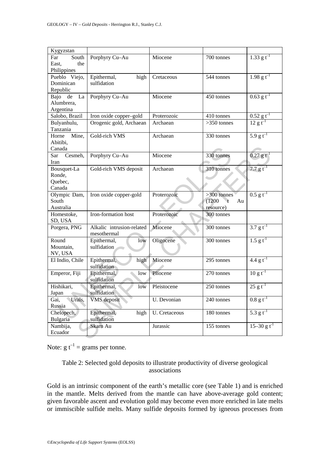| Kygyzstan                |                           |               |                   |                           |
|--------------------------|---------------------------|---------------|-------------------|---------------------------|
| Far<br>South             | Porphyry Cu-Au            | Miocene       | 700 tonnes        | 1.33 g t <sup>-1</sup>    |
| the<br>East.             |                           |               |                   |                           |
| Philippines              |                           |               |                   |                           |
| Pueblo Viejo,            | Epithermal,<br>high       | Cretaceous    | 544 tonnes        | $1.98 g t^{-1}$           |
| Dominican                | sulfidation               |               |                   |                           |
| Republic                 |                           |               |                   |                           |
| La<br>Bajo<br>de         | Porphyry Cu-Au            | Miocene       | 450 tonnes        | $0.63$ g t <sup>-1</sup>  |
| Alumbrera,               |                           |               |                   |                           |
| Argentina                |                           |               |                   |                           |
| Salobo, Brazil           | Iron oxide copper-gold    | Proterozoic   | 410 tonnes        | $0.52$ g t <sup>-1</sup>  |
| Bulyanhulu,              | Orogenic gold, Archaean   | Archaean      | $>350$ tonnes     | $12 g t^{-1}$             |
| Tanzania                 |                           |               |                   |                           |
| Mine,<br>Horne           | Gold-rich VMS             | Archaean      | 330 tonnes        | $5.9 g t^{-1}$            |
| Abitibi,                 |                           |               |                   |                           |
| Canada                   |                           |               |                   |                           |
| Cesmeh,<br>Sar           | Porphyry Cu-Au            | Miocene       | 330 tonnes        | $0.27 g t^{-1}$           |
| Iran                     |                           |               |                   |                           |
| Bousquet-La              | Gold-rich VMS deposit     | Archaean      | 310 tonnes        | 7.7 $g t^{-1}$            |
| Ronde,                   |                           |               |                   |                           |
| Quebec,                  |                           |               |                   |                           |
| Canada                   |                           |               |                   |                           |
| Olympic Dam,             | Iron oxide copper-gold    | Proterozoic   | $>300$ tonnes     | $0.5$ g t <sup>-1</sup>   |
| South                    |                           |               | (1200)<br>Au<br>ŧ |                           |
| Australia                |                           |               | resource)         |                           |
| Homestoke,               | Iron-formation host       | Proterozoic   | 300 tonnes        |                           |
| SD, USA                  |                           |               |                   |                           |
| Porgera, PNG             | Alkalic intrusion-related | Miocene       | 300 tonnes        | $3.7 g t^{-1}$            |
|                          | mesothermal               |               |                   |                           |
| Round                    | Epithermal,<br>low        | Oligocene     | 300 tonnes        | $1.5 g t^{-1}$            |
| Mountain,                | sulfidation               |               |                   |                           |
| NV, USA                  |                           |               |                   |                           |
| El Indio, Chile          | Epithermal,<br>high       | Miocene       | 295 tonnes        | 4.4 g t <sup>-1</sup>     |
|                          | sulfidation               |               |                   | $10 g t^{-1}$             |
| Emperor, Fiji            | Epithermal,<br>low        | Pliocene      | 270 tonnes        |                           |
|                          | sulfidation               |               |                   |                           |
| Hishikari,               | Epithermal,<br>low        | Pleistocene   | 250 tonnes        | $25 g t^{-1}$             |
| Japan                    | sulfidation               |               |                   | $0.8 g t^{-1}$            |
| Gai,<br>Urals,<br>Russia | <b>VMS</b> deposit        | U. Devonian   | 240 tonnes        |                           |
| Chelopech,               | Epithermal,<br>high       | U. Cretaceous | 180 tonnes        | 5.3 g t <sup>-1</sup>     |
| Bulgaria                 | sulfidation               |               |                   |                           |
| Nambija,                 | Skarn Au                  | Jurassic      | 155 tonnes        | $15-30$ g t <sup>-1</sup> |
| Ecuador                  |                           |               |                   |                           |
|                          |                           |               |                   |                           |

Note:  $g t^{-1} =$  grams per tonne.

# Table 2: Selected gold deposits to illustrate productivity of diverse geological associations

Gold is an intrinsic component of the earth's metallic core (see Table 1) and is enriched in the mantle. Melts derived from the mantle can have above-average gold content; given favorable ascent and evolution gold may become even more enriched in late melts or immiscible sulfide melts. Many sulfide deposits formed by igneous processes from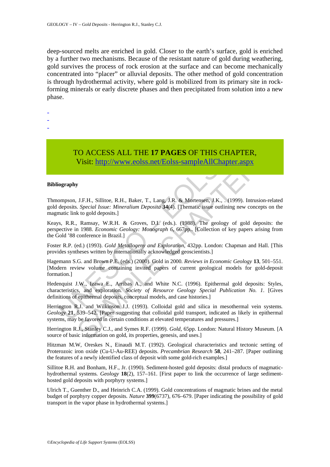deep-sourced melts are enriched in gold. Closer to the earth's surface, gold is enriched by a further two mechanisms. Because of the resistant nature of gold during weathering, gold survives the process of rock erosion at the surface and can become mechanically concentrated into "placer" or alluvial deposits. The other method of gold concentration is through hydrothermal activity, where gold is mobilized from its primary site in rockforming minerals or early discrete phases and then precipitated from solution into a new phase.

-

- -
- -

# TO ACCESS ALL THE **17 PAGES** OF THIS CHAPTER, Visit: http://www.eolss.net/Eolss-sampleAllChapter.aspx

#### **Bibliography**

Thmompson, J.F.H., Sillitoe, R.H., Baker, T., Lang, J.R. & Mortensen, J.K., . (1999). Intrusion-related gold deposits*. Special Issue: Mineralium Deposita* **34**(4). [Thematic issue outlining new concepts on the magmatic link to gold deposits.]

Keays, R.R., Ramsay, W.R.H. & Groves, D.I. (eds.). (1988). The geology of gold deposits: the perspective in 1988. *Economic Geology: Monograph 6*, 667pp.. [Collection of key papers arising from the Gold '88 conference in Brazil.]

Foster R.P. (ed.) (1993). *Gold Metallogeny and Exploration*, 432pp. London: Chapman and Hall. [This provides syntheses written by internationally acknowledged geoscientists.]

**TO ACCESS ALL THE 17 PAGES OF THIS CHA**<br>Visit: http://www.eolss.net/Eolss-sampleAllChapte<br>iography<br>ompson, J.F.H., Sillitoe, R.H., Baker, T., Lang, J.R. & Mortensen, J.K., . (1<br>deposits. *Special Issue: Mineralium Deposit* **CO ACCESS ALL THE 17 PAGES OF THIS CHAPTER,**<br>
Visit: http://www.colss.net/Eolss-sampleAllChapter.aspx<br>
J.F.H., Silitoe, R.H., Baker, T., Lang, J.R. & Mortensen, J.K., (1999). Intrusion-re<br>
Special Issue: Mineralium Deposi Hagemann S.G. and Brown P.E. (eds.) (2000). Gold in 2000*. Reviews in Economic Geology* **13**, 501–551. [Modern review volume containing invited papers of current geological models for gold-deposit formation.]

Hedenquist J.W., Izawa E., Arribas A., and White N.C. (1996). Epithermal gold deposits: Styles, characteristics, and exploration*. Society of Resource Geology Special Publication No. 1*. [Gives definitions of epithermal deposits, conceptual models, and case histories.]

Herrington R.J. and Wilkinson J.J. (1993). Colloidal gold and silica in mesothermal vein systems*. Geology* **21**, 539–542. [Paper suggesting that colloidal gold transport, indicated as likely in epithermal systems, may be favored in certain conditions at elevated temperatures and pressures.]

Herrington R.J., Stanley C.J., and Symes R.F. (1999). *Gold,* 65pp. London: Natural History Museum. [A source of basic information on gold, its properties, genesis, and uses.]

Hitzman M.W, Oreskes N., Einaudi M.T. (1992). Geological characteristics and tectonic setting of Proterozoic iron oxide (Cu-U-Au-REE) deposits. *Precambrian Research* **58**, 241–287. [Paper outlining the features of a newly identified class of deposit with some gold-rich examples.]

Sillitoe R.H. and Bonham, H.F., Jr. (1990). Sediment-hosted gold deposits: distal products of magmatichydrothermal systems*. Geology* **18**(2), 157–161. [First paper to link the occurrence of large sedimenthosted gold deposits with porphyry systems.]

Ulrich T., Guenther D., and Heinrich C.A. (1999). Gold concentrations of magmatic brines and the metal budget of porphyry copper deposits*. Nature* **399**(6737), 676–679. [Paper indicating the possibility of gold transport in the vapor phase in hydrothermal systems.]